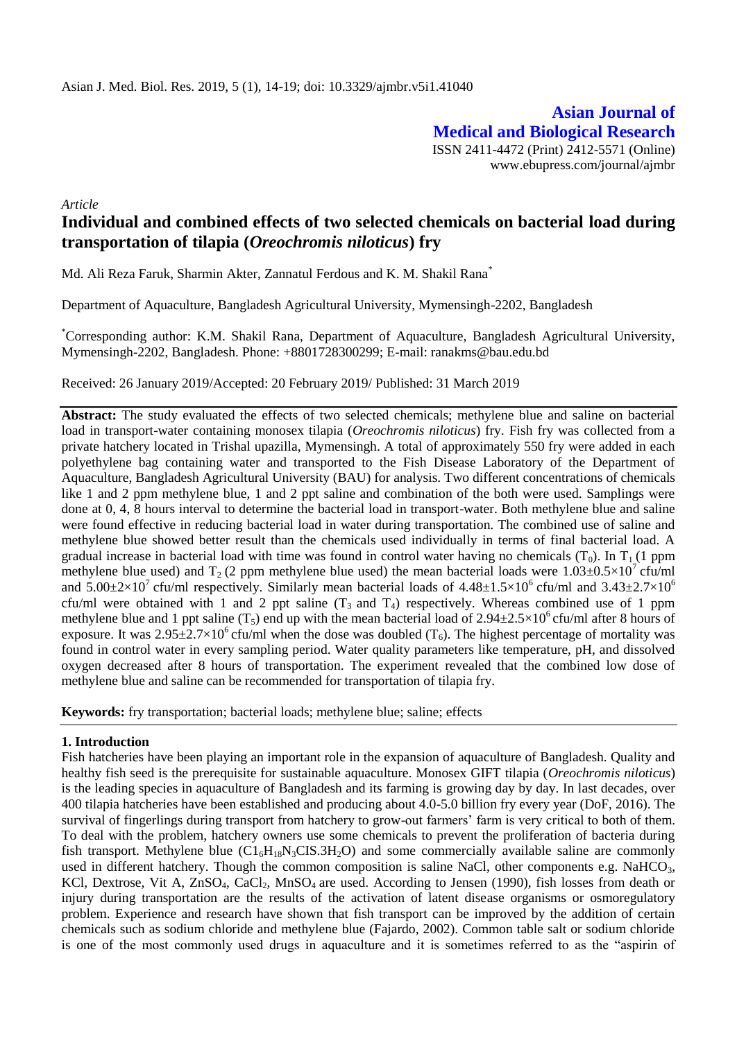**Asian Journal of Medical and Biological Research** ISSN 2411-4472 (Print) 2412-5571 (Online) www.ebupress.com/journal/ajmbr

*Article*

# **Individual and combined effects of two selected chemicals on bacterial load during transportation of tilapia (***Oreochromis niloticus***) fry**

Md. Ali Reza Faruk, Sharmin Akter, Zannatul Ferdous and K. M. Shakil Rana\*

Department of Aquaculture, Bangladesh Agricultural University, Mymensingh-2202, Bangladesh

\*Corresponding author: K.M. Shakil Rana, Department of Aquaculture, Bangladesh Agricultural University, Mymensingh-2202, Bangladesh. Phone: +8801728300299; E-mail: ranakms@bau.edu.bd

Received: 26 January 2019/Accepted: 20 February 2019/ Published: 31 March 2019

**Abstract:** The study evaluated the effects of two selected chemicals; methylene blue and saline on bacterial load in transport-water containing monosex tilapia (*Oreochromis niloticus*) fry. Fish fry was collected from a private hatchery located in Trishal upazilla, Mymensingh. A total of approximately 550 fry were added in each polyethylene bag containing water and transported to the Fish Disease Laboratory of the Department of Aquaculture, Bangladesh Agricultural University (BAU) for analysis. Two different concentrations of chemicals like 1 and 2 ppm methylene blue, 1 and 2 ppt saline and combination of the both were used. Samplings were done at 0, 4, 8 hours interval to determine the bacterial load in transport-water. Both methylene blue and saline were found effective in reducing bacterial load in water during transportation. The combined use of saline and methylene blue showed better result than the chemicals used individually in terms of final bacterial load. A gradual increase in bacterial load with time was found in control water having no chemicals  $(T_0)$ . In  $T_1$  (1 ppm methylene blue used) and  $T_2$  (2 ppm methylene blue used) the mean bacterial loads were  $1.03 \pm 0.5 \times 10^7$  cfu/ml and  $5.00\pm2\times10^7$  cfu/ml respectively. Similarly mean bacterial loads of  $4.48\pm1.5\times10^6$  cfu/ml and  $3.43\pm2.7\times10^6$ cfu/ml were obtained with 1 and 2 ppt saline  $(T_3$  and  $T_4$ ) respectively. Whereas combined use of 1 ppm methylene blue and 1 ppt saline ( $T_5$ ) end up with the mean bacterial load of 2.94 $\pm$ 2.5×10<sup>6</sup> cfu/ml after 8 hours of exposure. It was  $2.95\pm2.7\times10^6$  cfu/ml when the dose was doubled (T<sub>6</sub>). The highest percentage of mortality was found in control water in every sampling period. Water quality parameters like temperature, pH, and dissolved oxygen decreased after 8 hours of transportation. The experiment revealed that the combined low dose of methylene blue and saline can be recommended for transportation of tilapia fry.

**Keywords:** fry transportation; bacterial loads; methylene blue; saline; effects

## **1. Introduction**

Fish hatcheries have been playing an important role in the expansion of aquaculture of Bangladesh. Quality and healthy fish seed is the prerequisite for sustainable aquaculture. Monosex GIFT tilapia (*Oreochromis niloticus*) is the leading species in aquaculture of Bangladesh and its farming is growing day by day. In last decades, over 400 tilapia hatcheries have been established and producing about 4.0-5.0 billion fry every year (DoF, 2016). The survival of fingerlings during transport from hatchery to grow-out farmers' farm is very critical to both of them. To deal with the problem, hatchery owners use some chemicals to prevent the proliferation of bacteria during fish transport. Methylene blue  $(C1_6H_{18}N_3CIS.3H_2O)$  and some commercially available saline are commonly used in different hatchery. Though the common composition is saline NaCl, other components e.g. NaHCO<sub>3</sub>, KCl, Dextrose, Vit A, ZnSO<sub>4</sub>, CaCl<sub>2</sub>, MnSO<sub>4</sub> are used. According to Jensen (1990), fish losses from death or injury during transportation are the results of the activation of latent disease organisms or osmoregulatory problem. Experience and research have shown that fish transport can be improved by the addition of certain chemicals such as sodium chloride and methylene blue (Fajardo, 2002). Common table salt or sodium chloride is one of the most commonly used drugs in aquaculture and it is sometimes referred to as the "aspirin of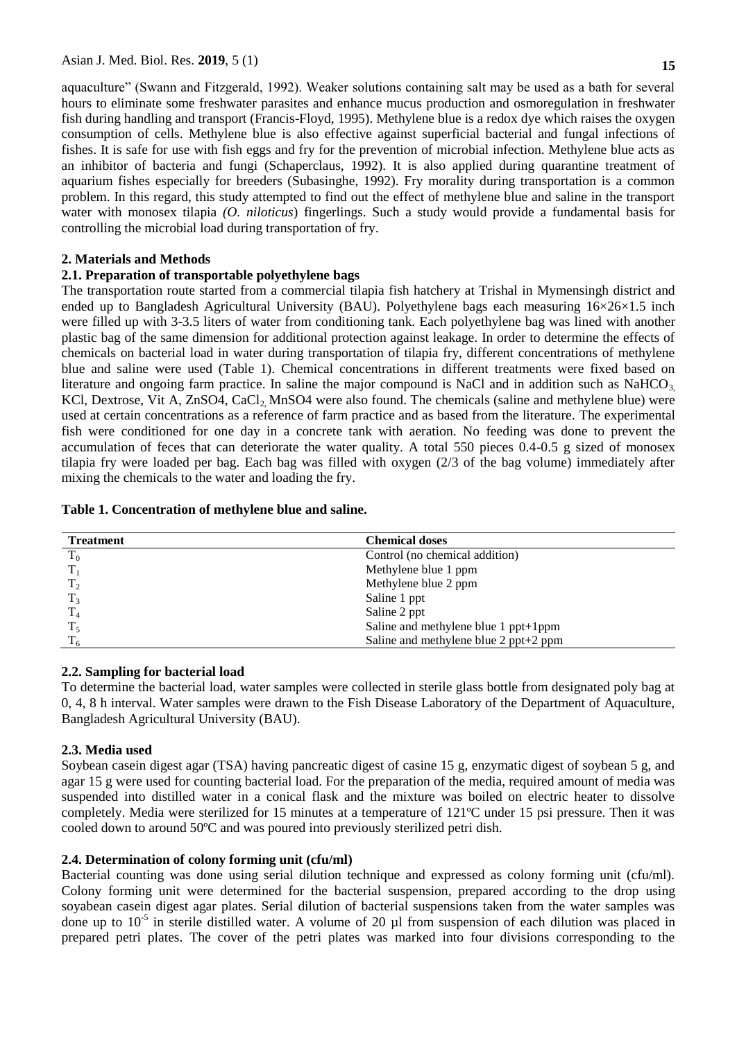aquaculture" (Swann and Fitzgerald, 1992). Weaker solutions containing salt may be used as a bath for several hours to eliminate some freshwater parasites and enhance mucus production and osmoregulation in freshwater fish during handling and transport (Francis-Floyd, 1995). Methylene blue is a redox dye which raises the oxygen consumption of cells. Methylene blue is also effective against superficial bacterial and fungal infections of fishes. It is safe for use with fish eggs and fry for the prevention of microbial infection. Methylene blue acts as an inhibitor of bacteria and fungi (Schaperclaus, 1992). It is also applied during quarantine treatment of aquarium fishes especially for breeders (Subasinghe, 1992). Fry morality during transportation is a common problem. In this regard, this study attempted to find out the effect of methylene blue and saline in the transport water with monosex tilapia *(O. niloticus*) fingerlings. Such a study would provide a fundamental basis for controlling the microbial load during transportation of fry.

# **2. Materials and Methods**

## **2.1. Preparation of transportable polyethylene bags**

The transportation route started from a commercial tilapia fish hatchery at Trishal in Mymensingh district and ended up to Bangladesh Agricultural University (BAU). Polyethylene bags each measuring  $16\times26\times1.5$  inch were filled up with 3-3.5 liters of water from conditioning tank. Each polyethylene bag was lined with another plastic bag of the same dimension for additional protection against leakage. In order to determine the effects of chemicals on bacterial load in water during transportation of tilapia fry, different concentrations of methylene blue and saline were used (Table 1). Chemical concentrations in different treatments were fixed based on literature and ongoing farm practice. In saline the major compound is NaCl and in addition such as NaHCO<sub>3</sub> KCl, Dextrose, Vit A, ZnSO4, CaCl<sub>2</sub> MnSO4 were also found. The chemicals (saline and methylene blue) were used at certain concentrations as a reference of farm practice and as based from the literature. The experimental fish were conditioned for one day in a concrete tank with aeration. No feeding was done to prevent the accumulation of feces that can deteriorate the water quality. A total 550 pieces 0.4-0.5 g sized of monosex tilapia fry were loaded per bag. Each bag was filled with oxygen (2/3 of the bag volume) immediately after mixing the chemicals to the water and loading the fry.

|  |  | Table 1. Concentration of methylene blue and saline. |  |  |  |
|--|--|------------------------------------------------------|--|--|--|
|--|--|------------------------------------------------------|--|--|--|

| <b>Treatment</b> | <b>Chemical doses</b>                 |
|------------------|---------------------------------------|
| $T_0$            | Control (no chemical addition)        |
|                  | Methylene blue 1 ppm                  |
|                  | Methylene blue 2 ppm                  |
|                  | Saline 1 ppt                          |
|                  | Saline 2 ppt                          |
|                  | Saline and methylene blue 1 ppt+1ppm  |
|                  | Saline and methylene blue 2 ppt+2 ppm |

## **2.2. Sampling for bacterial load**

To determine the bacterial load, water samples were collected in sterile glass bottle from designated poly bag at 0, 4, 8 h interval. Water samples were drawn to the Fish Disease Laboratory of the Department of Aquaculture, Bangladesh Agricultural University (BAU).

## **2.3. Media used**

Soybean casein digest agar (TSA) having pancreatic digest of casine 15 g, enzymatic digest of soybean 5 g, and agar 15 g were used for counting bacterial load. For the preparation of the media, required amount of media was suspended into distilled water in a conical flask and the mixture was boiled on electric heater to dissolve completely. Media were sterilized for 15 minutes at a temperature of 121ºC under 15 psi pressure. Then it was cooled down to around 50ºC and was poured into previously sterilized petri dish.

## **2.4. Determination of colony forming unit (cfu/ml)**

Bacterial counting was done using serial dilution technique and expressed as colony forming unit (cfu/ml). Colony forming unit were determined for the bacterial suspension, prepared according to the drop using soyabean casein digest agar plates. Serial dilution of bacterial suspensions taken from the water samples was done up to  $10^{-5}$  in sterile distilled water. A volume of 20  $\mu$ l from suspension of each dilution was placed in prepared petri plates. The cover of the petri plates was marked into four divisions corresponding to the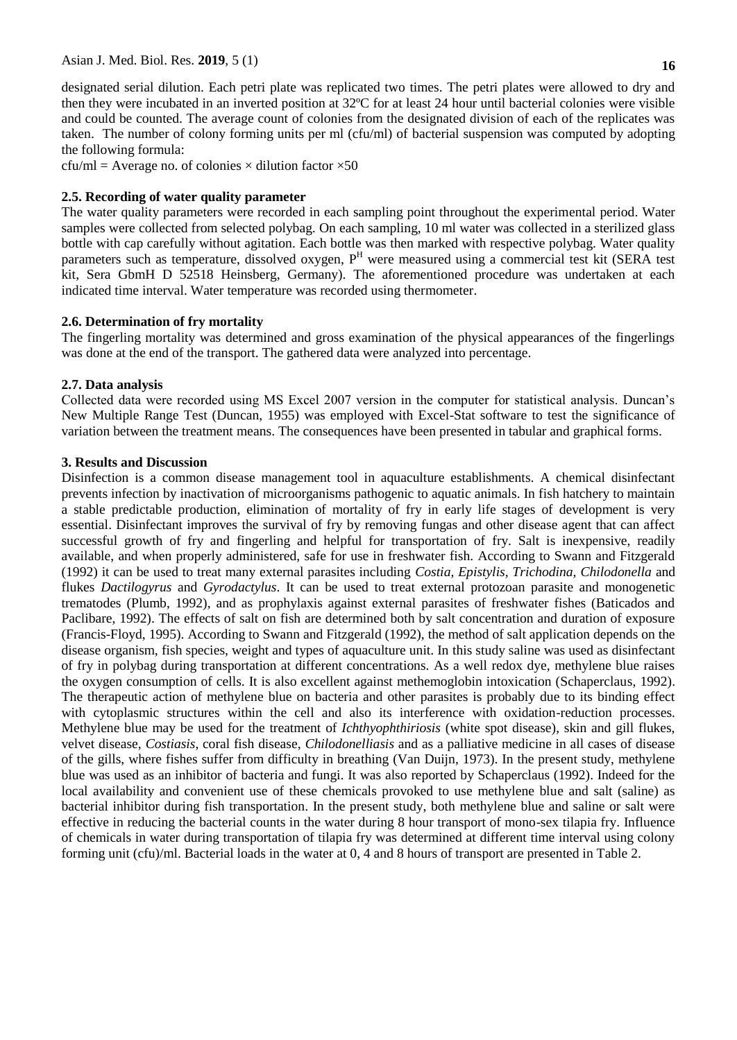designated serial dilution. Each petri plate was replicated two times. The petri plates were allowed to dry and then they were incubated in an inverted position at 32ºC for at least 24 hour until bacterial colonies were visible and could be counted. The average count of colonies from the designated division of each of the replicates was taken. The number of colony forming units per ml (cfu/ml) of bacterial suspension was computed by adopting the following formula:

 $cfu/ml = Average no. of colonies × dilution factor ×50$ 

## **2.5. Recording of water quality parameter**

The water quality parameters were recorded in each sampling point throughout the experimental period. Water samples were collected from selected polybag. On each sampling, 10 ml water was collected in a sterilized glass bottle with cap carefully without agitation. Each bottle was then marked with respective polybag. Water quality parameters such as temperature, dissolved oxygen, P<sup>H</sup> were measured using a commercial test kit (SERA test kit, Sera GbmH D 52518 Heinsberg, Germany). The aforementioned procedure was undertaken at each indicated time interval. Water temperature was recorded using thermometer.

## **2.6. Determination of fry mortality**

The fingerling mortality was determined and gross examination of the physical appearances of the fingerlings was done at the end of the transport. The gathered data were analyzed into percentage.

## **2.7. Data analysis**

Collected data were recorded using MS Excel 2007 version in the computer for statistical analysis. Duncan's New Multiple Range Test (Duncan, 1955) was employed with Excel-Stat software to test the significance of variation between the treatment means. The consequences have been presented in tabular and graphical forms.

## **3. Results and Discussion**

Disinfection is a common disease management tool in aquaculture establishments. A chemical disinfectant prevents infection by inactivation of microorganisms pathogenic to aquatic animals. In fish hatchery to maintain a stable predictable production, elimination of mortality of fry in early life stages of development is very essential. Disinfectant improves the survival of fry by removing fungas and other disease agent that can affect successful growth of fry and fingerling and helpful for transportation of fry. Salt is inexpensive, readily available, and when properly administered, safe for use in freshwater fish. According to Swann and Fitzgerald (1992) it can be used to treat many external parasites including *Costia, Epistylis, Trichodina, Chilodonella* and flukes *Dactilogyrus* and *Gyrodactylus*. It can be used to treat external protozoan parasite and monogenetic trematodes (Plumb, 1992), and as prophylaxis against external parasites of freshwater fishes (Baticados and Paclibare, 1992). The effects of salt on fish are determined both by salt concentration and duration of exposure (Francis-Floyd, 1995). According to Swann and Fitzgerald (1992), the method of salt application depends on the disease organism, fish species, weight and types of aquaculture unit. In this study saline was used as disinfectant of fry in polybag during transportation at different concentrations. As a well redox dye, methylene blue raises the oxygen consumption of cells. It is also excellent against methemoglobin intoxication (Schaperclaus, 1992). The therapeutic action of methylene blue on bacteria and other parasites is probably due to its binding effect with cytoplasmic structures within the cell and also its interference with oxidation-reduction processes. Methylene blue may be used for the treatment of *Ichthyophthiriosis* (white spot disease), skin and gill flukes, velvet disease, *Costiasis*, coral fish disease, *Chilodonelliasis* and as a palliative medicine in all cases of disease of the gills, where fishes suffer from difficulty in breathing (Van Duijn, 1973). In the present study, methylene blue was used as an inhibitor of bacteria and fungi. It was also reported by Schaperclaus (1992). Indeed for the local availability and convenient use of these chemicals provoked to use methylene blue and salt (saline) as bacterial inhibitor during fish transportation. In the present study, both methylene blue and saline or salt were effective in reducing the bacterial counts in the water during 8 hour transport of mono-sex tilapia fry. Influence of chemicals in water during transportation of tilapia fry was determined at different time interval using colony forming unit (cfu)/ml. Bacterial loads in the water at 0, 4 and 8 hours of transport are presented in Table 2.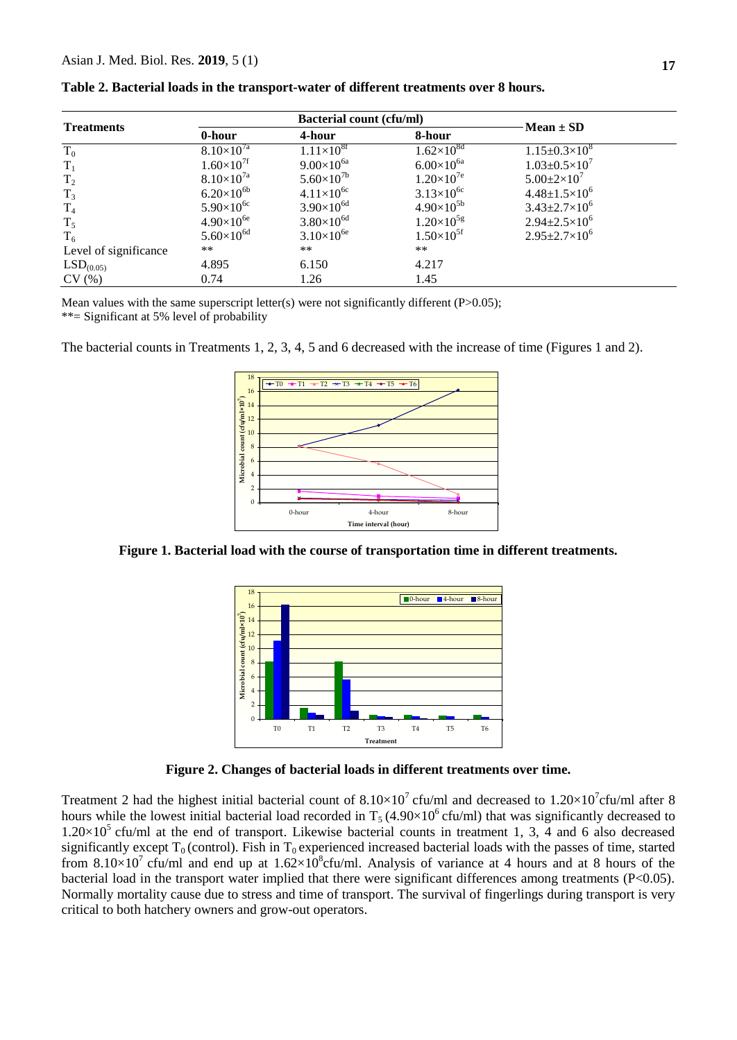| <b>Treatments</b>     |                     | <b>Bacterial count (cfu/ml)</b> | $Mean \pm SD$       |                              |  |  |
|-----------------------|---------------------|---------------------------------|---------------------|------------------------------|--|--|
|                       | 0-hour              | 4-hour                          | 8-hour              |                              |  |  |
| $T_0$                 | $8.10\times10^{7a}$ | $1.11\times10^{8f}$             | $1.62\times10^{8d}$ | $1.15 \pm 0.3 \times 10^8$   |  |  |
| $T_1$                 | $1.60\times10^{7f}$ | $9.00\times10^{6a}$             | $6.00\times10^{6a}$ | $1.03 \pm 0.5 \times 10^{7}$ |  |  |
| T <sub>2</sub>        | $8.10\times10^{7a}$ | $5.60\times10^{7b}$             | $1.20\times10^{7e}$ | $5.00 \pm 2 \times 10^7$     |  |  |
| $T_3$                 | $6.20\times10^{6b}$ | $4.11\times10^{6c}$             | $3.13\times10^{6c}$ | $4.48 \pm 1.5 \times 10^6$   |  |  |
| $T_4$                 | $5.90\times10^{6c}$ | $3.90\times10^{6d}$             | $4.90\times10^{5b}$ | $3.43 \pm 2.7 \times 10^6$   |  |  |
| $T_5$                 | $4.90\times10^{6e}$ | $3.80\times10^{6d}$             | $1.20\times10^{5g}$ | $2.94 \pm 2.5 \times 10^6$   |  |  |
| $T_6$                 | $5.60\times10^{6d}$ | $3.10\times10^{6e}$             | $1.50\times10^{5f}$ | $2.95 \pm 2.7 \times 10^6$   |  |  |
| Level of significance | **                  | $***$                           | $***$               |                              |  |  |
| LSD <sub>(0.05)</sub> | 4.895               | 6.150                           | 4.217               |                              |  |  |
| CV(%)                 | 0.74                | 1.26                            | 1.45                |                              |  |  |

| Table 2. Bacterial loads in the transport-water of different treatments over 8 hours. |  |  |  |  |  |  |  |
|---------------------------------------------------------------------------------------|--|--|--|--|--|--|--|
|---------------------------------------------------------------------------------------|--|--|--|--|--|--|--|

Mean values with the same superscript letter(s) were not significantly different  $(P>0.05)$ ; \*\*= Significant at 5% level of probability

The bacterial counts in Treatments 1, 2, 3, 4, 5 and 6 decreased with the increase of time (Figures 1 and 2).



**Figure 1. Bacterial load with the course of transportation time in different treatments.**



**Figure 2. Changes of bacterial loads in different treatments over time.**

Treatment 2 had the highest initial bacterial count of  $8.10\times10^{7}$  cfu/ml and decreased to  $1.20\times10^{7}$ cfu/ml after 8 hours while the lowest initial bacterial load recorded in  $T_5 (4.90 \times 10^6 \text{ c} \text{fu/ml})$  that was significantly decreased to  $1.20\times10^5$  cfu/ml at the end of transport. Likewise bacterial counts in treatment 1, 3, 4 and 6 also decreased significantly except  $T_0$  (control). Fish in  $T_0$  experienced increased bacterial loads with the passes of time, started from 8.10 $\times$ 10<sup>7</sup> cfu/ml and end up at 1.62 $\times$ 10<sup>8</sup>cfu/ml. Analysis of variance at 4 hours and at 8 hours of the bacterial load in the transport water implied that there were significant differences among treatments (P<0.05). Normally mortality cause due to stress and time of transport. The survival of fingerlings during transport is very critical to both hatchery owners and grow-out operators.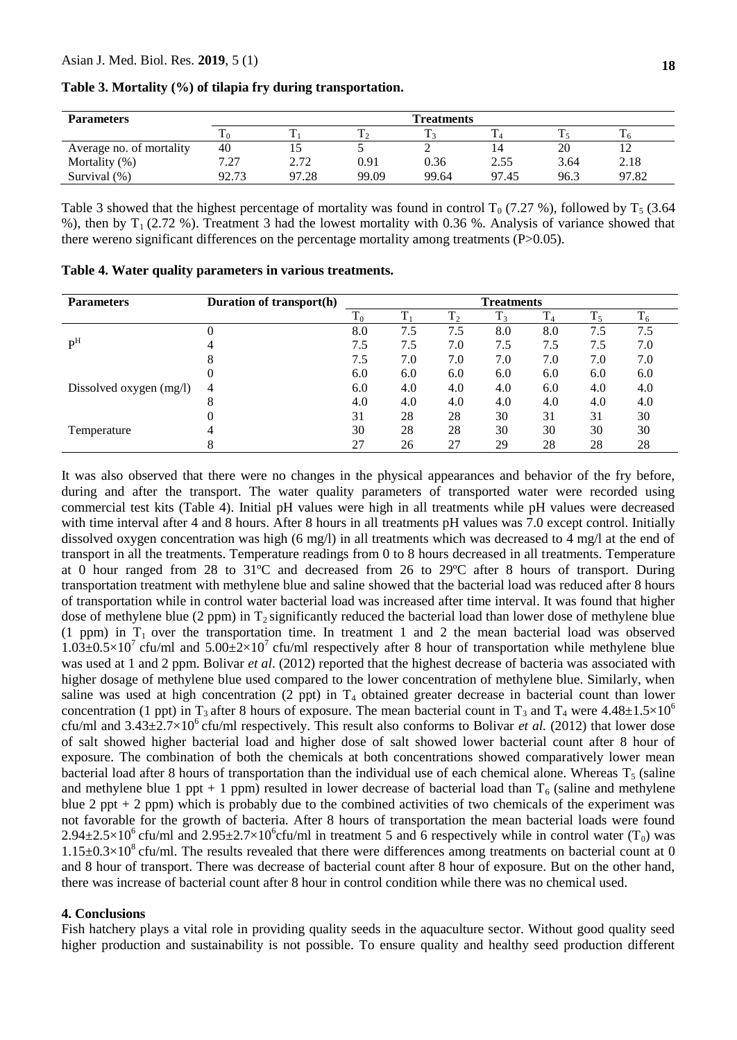| <b>Parameters</b>        | <b>Treatments</b> |       |       |       |       |      |       |
|--------------------------|-------------------|-------|-------|-------|-------|------|-------|
|                          |                   | m     |       |       |       |      |       |
| Average no. of mortality | 40                |       |       |       |       | 20   |       |
| Mortality $(\%)$         | 7.27              | 2.72  | 0.91  | 0.36  | 2.55  | 3.64 | 2.18  |
| Survival (%)             | 92.73             | 97.28 | 99.09 | 99.64 | 97.45 | 96.3 | 97.82 |

**Table 3. Mortality (%) of tilapia fry during transportation.**

Table 3 showed that the highest percentage of mortality was found in control  $T_0$  (7.27 %), followed by  $T_5$  (3.64 %), then by  $T_1$  (2.72 %). Treatment 3 had the lowest mortality with 0.36 %. Analysis of variance showed that there wereno significant differences on the percentage mortality among treatments  $(P>0.05)$ .

| <b>Parameters</b>         | Duration of transport(h) | <b>Treatments</b>      |     |     |     |     |     |     |
|---------------------------|--------------------------|------------------------|-----|-----|-----|-----|-----|-----|
|                           |                          | T.<br>$\mathbf{1}_{0}$ | ᠇᠇  | ᠇᠇  |     |     | ᠇᠇  |     |
|                           |                          | 8.0                    | 7.5 | 7.5 | 8.0 | 8.0 | 7.5 | 7.5 |
| $\mathbf{P}^{\mathrm{H}}$ |                          | 7.5                    | 7.5 | 7.0 | 7.5 | 7.5 | 7.5 | 7.0 |
|                           |                          | 7.5                    | 7.0 | 7.0 | 7.0 | 7.0 | 7.0 | 7.0 |
|                           |                          | 6.0                    | 6.0 | 6.0 | 6.0 | 6.0 | 6.0 | 6.0 |
| Dissolved oxygen (mg/l)   | 4                        | 6.0                    | 4.0 | 4.0 | 4.0 | 6.0 | 4.0 | 4.0 |
|                           |                          | 4.0                    | 4.0 | 4.0 | 4.0 | 4.0 | 4.0 | 4.0 |
|                           |                          | 31                     | 28  | 28  | 30  | 31  | 31  | 30  |
| Temperature               |                          | 30                     | 28  | 28  | 30  | 30  | 30  | 30  |
|                           |                          | 27                     | 26  | 27  | 29  | 28  | 28  | 28  |

**Table 4. Water quality parameters in various treatments.**

It was also observed that there were no changes in the physical appearances and behavior of the fry before, during and after the transport. The water quality parameters of transported water were recorded using commercial test kits (Table 4). Initial pH values were high in all treatments while pH values were decreased with time interval after 4 and 8 hours. After 8 hours in all treatments pH values was 7.0 except control. Initially dissolved oxygen concentration was high (6 mg/l) in all treatments which was decreased to 4 mg/l at the end of transport in all the treatments. Temperature readings from 0 to 8 hours decreased in all treatments. Temperature at 0 hour ranged from 28 to 31ºC and decreased from 26 to 29ºC after 8 hours of transport. During transportation treatment with methylene blue and saline showed that the bacterial load was reduced after 8 hours of transportation while in control water bacterial load was increased after time interval. It was found that higher dose of methylene blue (2 ppm) in  $T_2$  significantly reduced the bacterial load than lower dose of methylene blue (1 ppm) in  $T_1$  over the transportation time. In treatment 1 and 2 the mean bacterial load was observed  $1.03\pm0.5\times10^7$  cfu/ml and  $5.00\pm2\times10^7$  cfu/ml respectively after 8 hour of transportation while methylene blue was used at 1 and 2 ppm. Bolivar *et al*. (2012) reported that the highest decrease of bacteria was associated with higher dosage of methylene blue used compared to the lower concentration of methylene blue. Similarly, when saline was used at high concentration (2 ppt) in  $T_4$  obtained greater decrease in bacterial count than lower concentration (1 ppt) in T<sub>3</sub> after 8 hours of exposure. The mean bacterial count in T<sub>3</sub> and T<sub>4</sub> were 4.48 $\pm 1.5 \times 10^6$ cfu/ml and  $3.43\pm2.7\times10^6$  cfu/ml respectively. This result also conforms to Bolivar *et al.* (2012) that lower dose of salt showed higher bacterial load and higher dose of salt showed lower bacterial count after 8 hour of exposure. The combination of both the chemicals at both concentrations showed comparatively lower mean bacterial load after 8 hours of transportation than the individual use of each chemical alone. Whereas  $T_5$  (saline and methylene blue 1 ppt + 1 ppm) resulted in lower decrease of bacterial load than  $T_6$  (saline and methylene blue 2 ppt  $+$  2 ppm) which is probably due to the combined activities of two chemicals of the experiment was not favorable for the growth of bacteria. After 8 hours of transportation the mean bacterial loads were found 2.94 $\pm$ 2.5×10<sup>6</sup> cfu/ml and 2.95 $\pm$ 2.7×10<sup>6</sup>cfu/ml in treatment 5 and 6 respectively while in control water (T<sub>0</sub>) was  $1.15\pm0.3\times10^8$  cfu/ml. The results revealed that there were differences among treatments on bacterial count at 0 and 8 hour of transport. There was decrease of bacterial count after 8 hour of exposure. But on the other hand, there was increase of bacterial count after 8 hour in control condition while there was no chemical used.

#### **4. Conclusions**

Fish hatchery plays a vital role in providing quality seeds in the aquaculture sector. Without good quality seed higher production and sustainability is not possible. To ensure quality and healthy seed production different